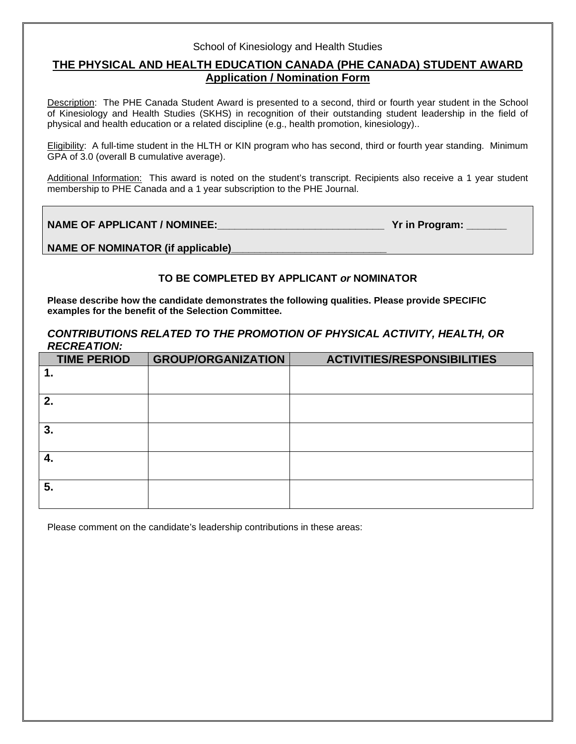### School of Kinesiology and Health Studies

# **THE PHYSICAL AND HEALTH EDUCATION CANADA (PHE CANADA) STUDENT AWARD Application / Nomination Form**

Description: The PHE Canada Student Award is presented to a second, third or fourth year student in the School of Kinesiology and Health Studies (SKHS) in recognition of their outstanding student leadership in the field of physical and health education or a related discipline (e.g., health promotion, kinesiology)..

Eligibility: A full-time student in the HLTH or KIN program who has second, third or fourth year standing. Minimum GPA of 3.0 (overall B cumulative average).

Additional Information: This award is noted on the student's transcript. Recipients also receive a 1 year student membership to PHE Canada and a 1 year subscription to the PHE Journal.

**NAME OF APPLICANT / NOMINEE:**  $\blacksquare$  **Yrich Program:**  $\blacksquare$  **Yrich Program:**  $\blacksquare$ 

NAME OF NOMINATOR (if applicable)

## **TO BE COMPLETED BY APPLICANT** *or* **NOMINATOR**

**Please describe how the candidate demonstrates the following qualities. Please provide SPECIFIC examples for the benefit of the Selection Committee.**

### *CONTRIBUTIONS RELATED TO THE PROMOTION OF PHYSICAL ACTIVITY, HEALTH, OR RECREATION:*

| <b>TIME PERIOD</b> | <b>GROUP/ORGANIZATION</b> | <b>ACTIVITIES/RESPONSIBILITIES</b> |
|--------------------|---------------------------|------------------------------------|
|                    |                           |                                    |
|                    |                           |                                    |
| 2.                 |                           |                                    |
|                    |                           |                                    |
| 3.                 |                           |                                    |
|                    |                           |                                    |
| 4.                 |                           |                                    |
|                    |                           |                                    |
| 5.                 |                           |                                    |
|                    |                           |                                    |

Please comment on the candidate's leadership contributions in these areas: